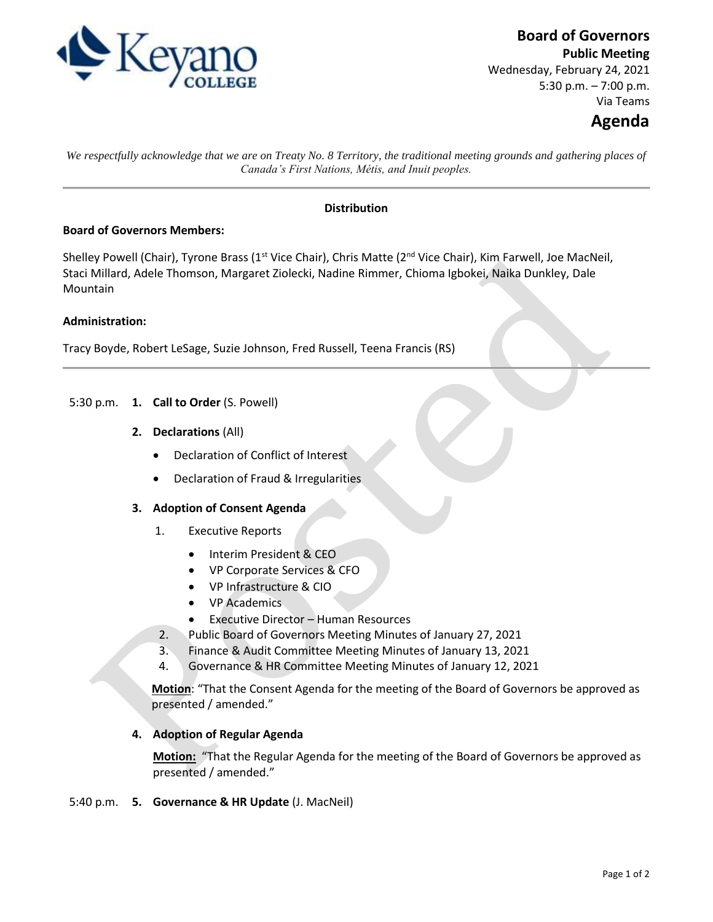

**Board of Governors**

**Public Meeting** Wednesday, February 24, 2021 5:30 p.m. – 7:00 p.m. Via Teams

# **Agenda**

*We respectfully acknowledge that we are on Treaty No. 8 Territory, the traditional meeting grounds and gathering places of Canada's First Nations, Métis, and Inuit peoples.*

# **Distribution**

## **Board of Governors Members:**

Shelley Powell (Chair), Tyrone Brass (1<sup>st</sup> Vice Chair), Chris Matte (2<sup>nd</sup> Vice Chair), Kim Farwell, Joe MacNeil, Staci Millard, Adele Thomson, Margaret Ziolecki, Nadine Rimmer, Chioma Igbokei, Naika Dunkley, Dale Mountain

## **Administration:**

Tracy Boyde, Robert LeSage, Suzie Johnson, Fred Russell, Teena Francis (RS)

- 5:30 p.m. **1. Call to Order** (S. Powell)
	- **2. Declarations** (All)
		- Declaration of Conflict of Interest
		- Declaration of Fraud & Irregularities

#### **3. Adoption of Consent Agenda**

- 1. Executive Reports
	- Interim President & CEO
	- VP Corporate Services & CFO
	- VP Infrastructure & CIO
	- VP Academics
	- Executive Director Human Resources
- 2. Public Board of Governors Meeting Minutes of January 27, 2021
- 3. Finance & Audit Committee Meeting Minutes of January 13, 2021
- 4. Governance & HR Committee Meeting Minutes of January 12, 2021

**Motion**: "That the Consent Agenda for the meeting of the Board of Governors be approved as presented / amended."

# **4. Adoption of Regular Agenda**

**Motion:** "That the Regular Agenda for the meeting of the Board of Governors be approved as presented / amended."

#### 5:40 p.m. **5. Governance & HR Update** (J. MacNeil)